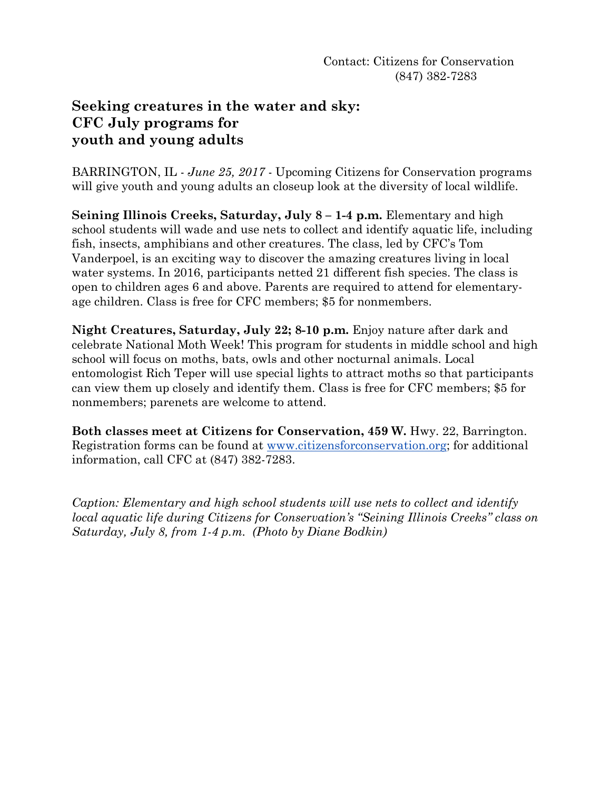## **Seeking creatures in the water and sky: CFC July programs for youth and young adults**

BARRINGTON, IL - *June 25, 2017* - Upcoming Citizens for Conservation programs will give youth and young adults an closeup look at the diversity of local wildlife.

**Seining Illinois Creeks, Saturday, July 8 – 1-4 p.m.** Elementary and high school students will wade and use nets to collect and identify aquatic life, including fish, insects, amphibians and other creatures. The class, led by CFC's Tom Vanderpoel, is an exciting way to discover the amazing creatures living in local water systems. In 2016, participants netted 21 different fish species. The class is open to children ages 6 and above. Parents are required to attend for elementaryage children. Class is free for CFC members; \$5 for nonmembers.

**Night Creatures, Saturday, July 22; 8-10 p.m.** Enjoy nature after dark and celebrate National Moth Week! This program for students in middle school and high school will focus on moths, bats, owls and other nocturnal animals. Local entomologist Rich Teper will use special lights to attract moths so that participants can view them up closely and identify them. Class is free for CFC members; \$5 for nonmembers; parenets are welcome to attend.

**Both classes meet at Citizens for Conservation, 459 W.** Hwy. 22, Barrington. Registration forms can be found at [www.citizensforconservation.org;](http://www.citizensforconservation.org/) for additional information, call CFC at (847) 382-7283.

*Caption: Elementary and high school students will use nets to collect and identify local aquatic life during Citizens for Conservation's "Seining Illinois Creeks" class on Saturday, July 8, from 1-4 p.m. (Photo by Diane Bodkin)*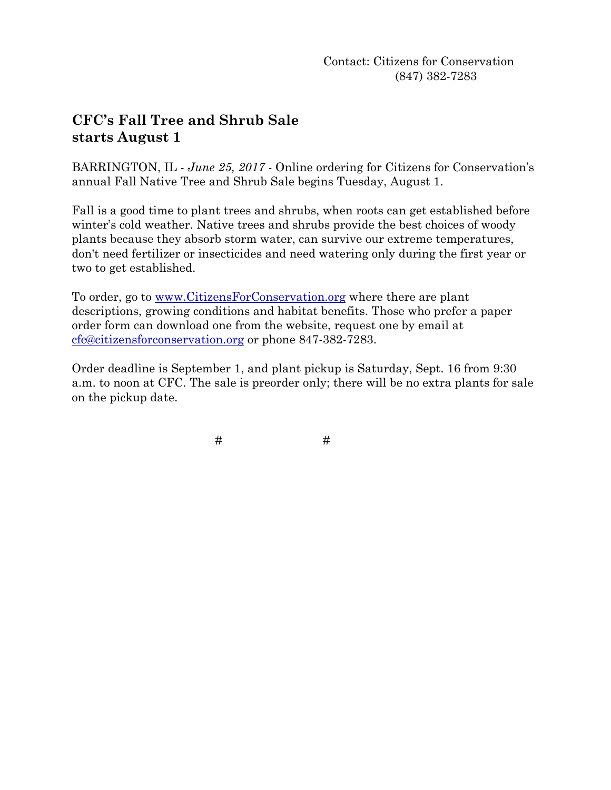Contact: Citizens for Conservation (847) 382-7283

## **CFC's Fall Tree and Shrub Sale starts August 1**

BARRINGTON, IL - *June 25, 2017* - Online ordering for Citizens for Conservation's annual Fall Native Tree and Shrub Sale begins Tuesday, August 1.

Fall is a good time to plant trees and shrubs, when roots can get established before winter's cold weather. Native trees and shrubs provide the best choices of woody plants because they absorb storm water, can survive our extreme temperatures, don't need fertilizer or insecticides and need watering only during the first year or two to get established.

To order, go to [www.CitizensForConservation.org](http://www.citizensforconservation.org/) where there are plant descriptions, growing conditions and habitat benefits. Those who prefer a paper order form can download one from the website, request one by email at [cfc@citizensforconservation.org](mailto:cfc@citizensforconservation.org) or phone 847-382-7283.

Order deadline is September 1, and plant pickup is Saturday, Sept. 16 from 9:30 a.m. to noon at CFC. The sale is preorder only; there will be no extra plants for sale on the pickup date.

# #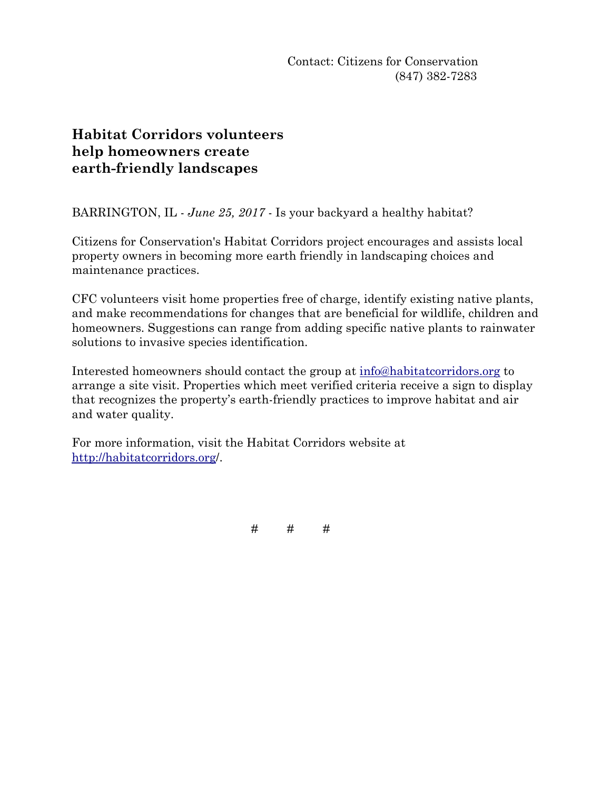Contact: Citizens for Conservation (847) 382-7283

## **Habitat Corridors volunteers help homeowners create earth-friendly landscapes**

BARRINGTON, IL - *June 25, 2017* - Is your backyard a healthy habitat?

Citizens for Conservation's Habitat Corridors project encourages and assists local property owners in becoming more earth friendly in landscaping choices and maintenance practices.

CFC volunteers visit home properties free of charge, identify existing native plants, and make recommendations for changes that are beneficial for wildlife, children and homeowners. Suggestions can range from adding specific native plants to rainwater solutions to invasive species identification.

Interested homeowners should contact the group at [info@habitatcorridors.org](mailto:info@habitatcorridors.org) to arrange a site visit. Properties which meet verified criteria receive a sign to display that recognizes the property's earth-friendly practices to improve habitat and air and water quality.

For more information, visit the Habitat Corridors website at <http://habitatcorridors.org/>.

 $#$   $#$   $#$